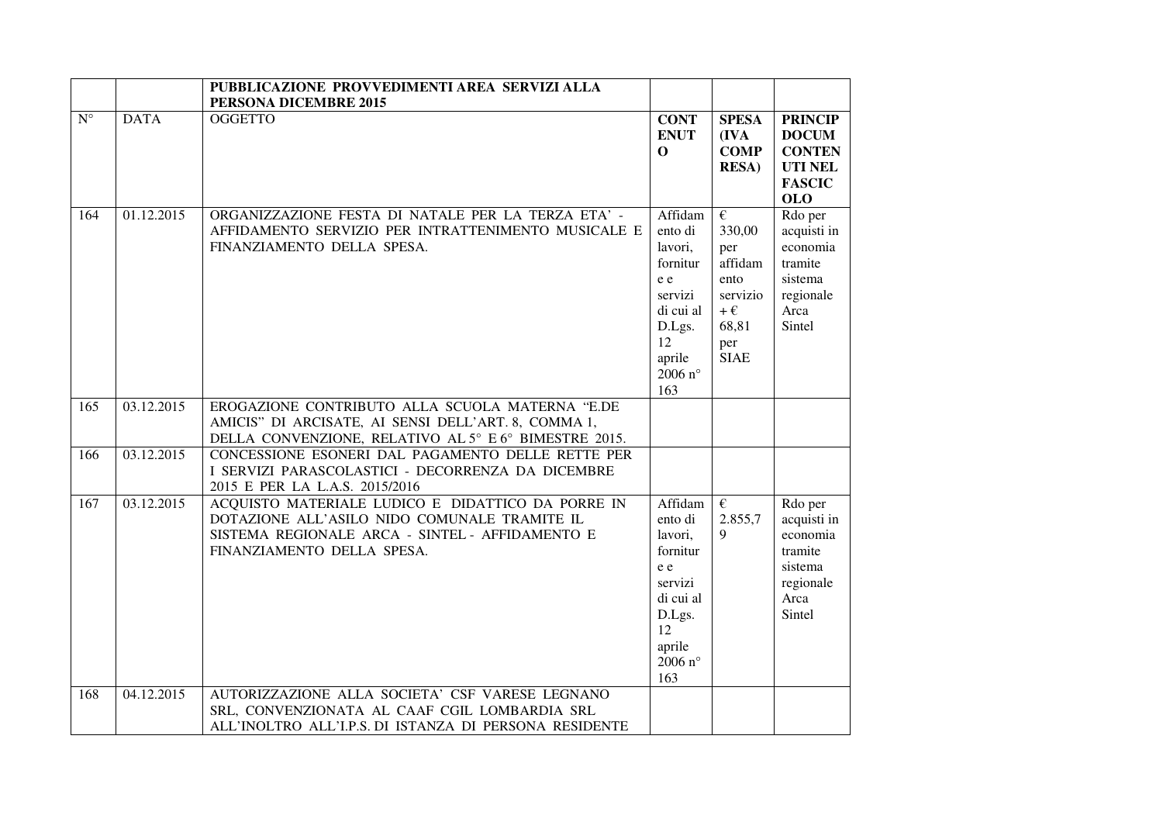|                        |             | PUBBLICAZIONE PROVVEDIMENTI AREA SERVIZI ALLA                                                                                                                                      |                                                                                                                               |                                                                                                            |                                                                                                  |
|------------------------|-------------|------------------------------------------------------------------------------------------------------------------------------------------------------------------------------------|-------------------------------------------------------------------------------------------------------------------------------|------------------------------------------------------------------------------------------------------------|--------------------------------------------------------------------------------------------------|
| $\overline{N^{\circ}}$ | <b>DATA</b> | PERSONA DICEMBRE 2015<br><b>OGGETTO</b>                                                                                                                                            | <b>CONT</b><br><b>ENUT</b><br>$\mathbf 0$                                                                                     | <b>SPESA</b><br>(IVA<br><b>COMP</b><br><b>RESA</b> )                                                       | <b>PRINCIP</b><br><b>DOCUM</b><br><b>CONTEN</b><br><b>UTI NEL</b><br><b>FASCIC</b><br><b>OLO</b> |
| 164                    | 01.12.2015  | ORGANIZZAZIONE FESTA DI NATALE PER LA TERZA ETA' -<br>AFFIDAMENTO SERVIZIO PER INTRATTENIMENTO MUSICALE E<br>FINANZIAMENTO DELLA SPESA.                                            | Affidam<br>ento di<br>lavori,<br>fornitur<br>e e<br>servizi<br>di cui al<br>D.Lgs.<br>12<br>aprile<br>2006 $n^{\circ}$<br>163 | $\epsilon$<br>330,00<br>per<br>affidam<br>ento<br>servizio<br>$+\,\epsilon$<br>68,81<br>per<br><b>SIAE</b> | Rdo per<br>acquisti in<br>economia<br>tramite<br>sistema<br>regionale<br>Arca<br>Sintel          |
| 165                    | 03.12.2015  | EROGAZIONE CONTRIBUTO ALLA SCUOLA MATERNA "E.DE<br>AMICIS" DI ARCISATE, AI SENSI DELL'ART. 8, COMMA 1,<br>DELLA CONVENZIONE, RELATIVO AL 5° E 6° BIMESTRE 2015.                    |                                                                                                                               |                                                                                                            |                                                                                                  |
| 166                    | 03.12.2015  | CONCESSIONE ESONERI DAL PAGAMENTO DELLE RETTE PER<br>I SERVIZI PARASCOLASTICI - DECORRENZA DA DICEMBRE<br>2015 E PER LA L.A.S. 2015/2016                                           |                                                                                                                               |                                                                                                            |                                                                                                  |
| 167                    | 03.12.2015  | ACQUISTO MATERIALE LUDICO E DIDATTICO DA PORRE IN<br>DOTAZIONE ALL'ASILO NIDO COMUNALE TRAMITE IL<br>SISTEMA REGIONALE ARCA - SINTEL - AFFIDAMENTO E<br>FINANZIAMENTO DELLA SPESA. | Affidam<br>ento di<br>lavori,<br>fornitur<br>e e<br>servizi<br>di cui al<br>D.Lgs.<br>12<br>aprile<br>2006 $n^{\circ}$<br>163 | $\epsilon$<br>2.855,7<br>9                                                                                 | Rdo per<br>acquisti in<br>economia<br>tramite<br>sistema<br>regionale<br>Arca<br>Sintel          |
| 168                    | 04.12.2015  | AUTORIZZAZIONE ALLA SOCIETA' CSF VARESE LEGNANO<br>SRL, CONVENZIONATA AL CAAF CGIL LOMBARDIA SRL<br>ALL'INOLTRO ALL'I.P.S. DI ISTANZA DI PERSONA RESIDENTE                         |                                                                                                                               |                                                                                                            |                                                                                                  |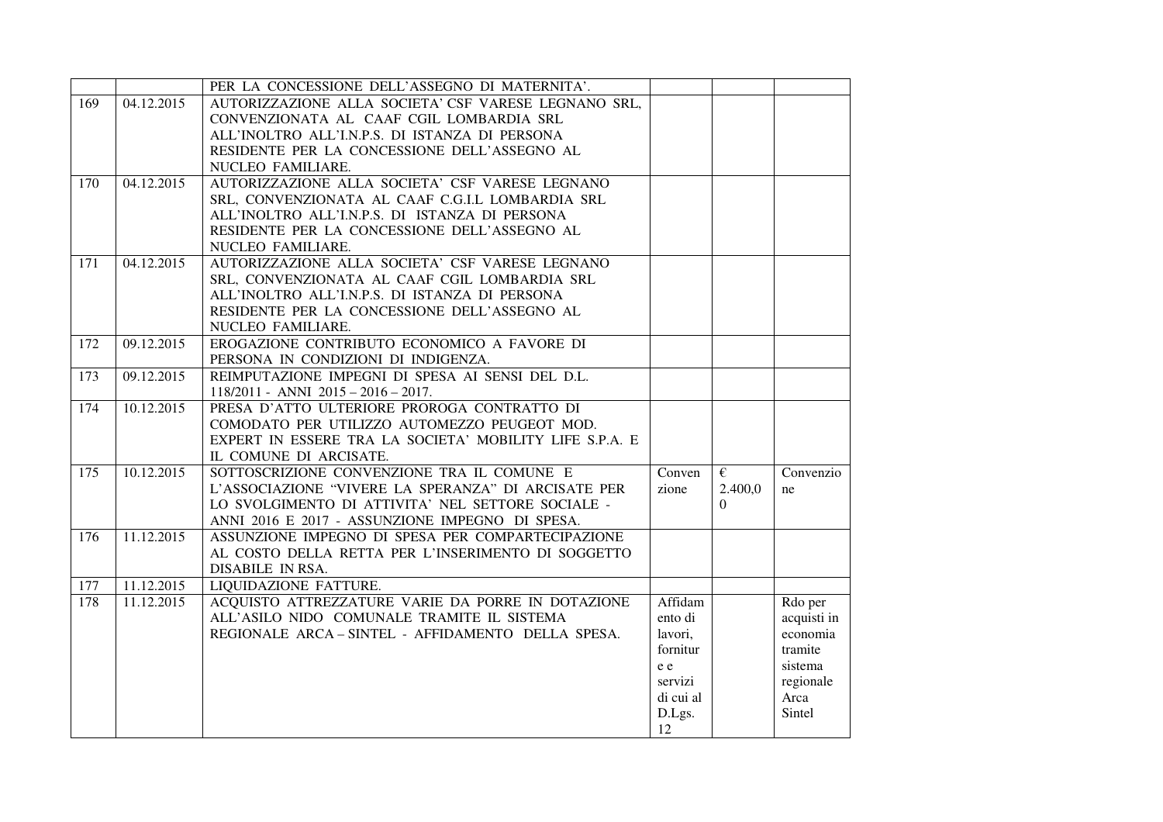|     |            | PER LA CONCESSIONE DELL'ASSEGNO DI MATERNITA'.          |           |                       |             |
|-----|------------|---------------------------------------------------------|-----------|-----------------------|-------------|
| 169 | 04.12.2015 | AUTORIZZAZIONE ALLA SOCIETA' CSF VARESE LEGNANO SRL,    |           |                       |             |
|     |            | CONVENZIONATA AL CAAF CGIL LOMBARDIA SRL                |           |                       |             |
|     |            | ALL'INOLTRO ALL'I.N.P.S. DI ISTANZA DI PERSONA          |           |                       |             |
|     |            | RESIDENTE PER LA CONCESSIONE DELL'ASSEGNO AL            |           |                       |             |
|     |            | NUCLEO FAMILIARE.                                       |           |                       |             |
| 170 | 04.12.2015 | AUTORIZZAZIONE ALLA SOCIETA' CSF VARESE LEGNANO         |           |                       |             |
|     |            | SRL, CONVENZIONATA AL CAAF C.G.I.L LOMBARDIA SRL        |           |                       |             |
|     |            | ALL'INOLTRO ALL'I.N.P.S. DI ISTANZA DI PERSONA          |           |                       |             |
|     |            | RESIDENTE PER LA CONCESSIONE DELL'ASSEGNO AL            |           |                       |             |
|     |            | NUCLEO FAMILIARE.                                       |           |                       |             |
| 171 | 04.12.2015 | AUTORIZZAZIONE ALLA SOCIETA' CSF VARESE LEGNANO         |           |                       |             |
|     |            | SRL, CONVENZIONATA AL CAAF CGIL LOMBARDIA SRL           |           |                       |             |
|     |            | ALL'INOLTRO ALL'I.N.P.S. DI ISTANZA DI PERSONA          |           |                       |             |
|     |            | RESIDENTE PER LA CONCESSIONE DELL'ASSEGNO AL            |           |                       |             |
|     |            | NUCLEO FAMILIARE.                                       |           |                       |             |
| 172 | 09.12.2015 | EROGAZIONE CONTRIBUTO ECONOMICO A FAVORE DI             |           |                       |             |
|     |            | PERSONA IN CONDIZIONI DI INDIGENZA.                     |           |                       |             |
| 173 | 09.12.2015 | REIMPUTAZIONE IMPEGNI DI SPESA AI SENSI DEL D.L.        |           |                       |             |
|     |            | $118/2011$ - ANNI $2015 - 2016 - 2017$ .                |           |                       |             |
| 174 | 10.12.2015 | PRESA D'ATTO ULTERIORE PROROGA CONTRATTO DI             |           |                       |             |
|     |            | COMODATO PER UTILIZZO AUTOMEZZO PEUGEOT MOD.            |           |                       |             |
|     |            | EXPERT IN ESSERE TRA LA SOCIETA' MOBILITY LIFE S.P.A. E |           |                       |             |
|     |            | IL COMUNE DI ARCISATE.                                  |           |                       |             |
| 175 | 10.12.2015 | SOTTOSCRIZIONE CONVENZIONE TRA IL COMUNE E              | Conven    | $\overline{\epsilon}$ | Convenzio   |
|     |            | L'ASSOCIAZIONE "VIVERE LA SPERANZA" DI ARCISATE PER     | zione     | 2.400,0               | ne          |
|     |            | LO SVOLGIMENTO DI ATTIVITA' NEL SETTORE SOCIALE -       |           | $\Omega$              |             |
|     |            | ANNI 2016 E 2017 - ASSUNZIONE IMPEGNO DI SPESA.         |           |                       |             |
| 176 | 11.12.2015 | ASSUNZIONE IMPEGNO DI SPESA PER COMPARTECIPAZIONE       |           |                       |             |
|     |            | AL COSTO DELLA RETTA PER L'INSERIMENTO DI SOGGETTO      |           |                       |             |
|     |            | DISABILE IN RSA.                                        |           |                       |             |
| 177 | 11.12.2015 | LIQUIDAZIONE FATTURE.                                   |           |                       |             |
| 178 | 11.12.2015 | ACQUISTO ATTREZZATURE VARIE DA PORRE IN DOTAZIONE       | Affidam   |                       | Rdo per     |
|     |            | ALL'ASILO NIDO COMUNALE TRAMITE IL SISTEMA              | ento di   |                       | acquisti in |
|     |            | REGIONALE ARCA-SINTEL - AFFIDAMENTO DELLA SPESA.        | lavori,   |                       | economia    |
|     |            |                                                         | fornitur  |                       | tramite     |
|     |            |                                                         | e e       |                       | sistema     |
|     |            |                                                         | servizi   |                       | regionale   |
|     |            |                                                         | di cui al |                       | Arca        |
|     |            |                                                         |           |                       | Sintel      |
|     |            |                                                         | D.Lgs.    |                       |             |
|     |            |                                                         | 12        |                       |             |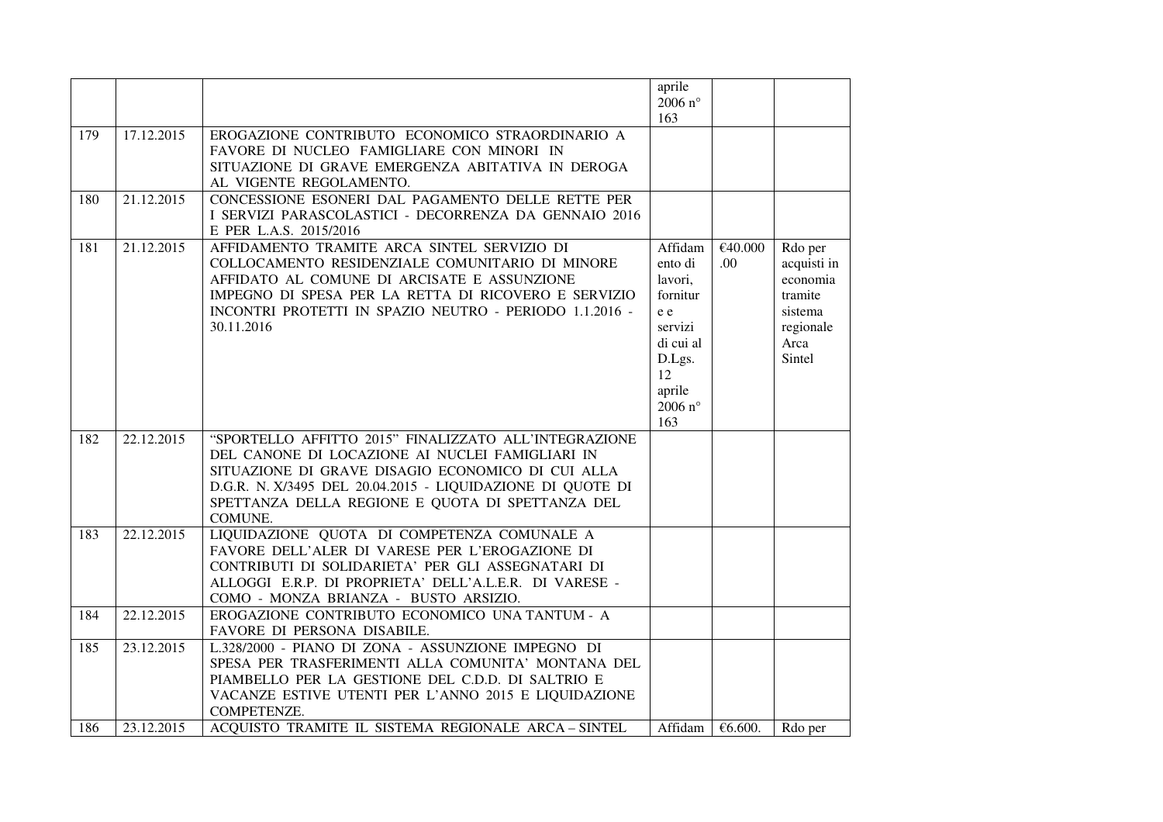|            |                          |                                                                                                                                                                                                                                                                                            | aprile<br>2006 $n^{\circ}$<br>163                                                                                             |                 |                                                                                         |
|------------|--------------------------|--------------------------------------------------------------------------------------------------------------------------------------------------------------------------------------------------------------------------------------------------------------------------------------------|-------------------------------------------------------------------------------------------------------------------------------|-----------------|-----------------------------------------------------------------------------------------|
| 179        | 17.12.2015               | EROGAZIONE CONTRIBUTO ECONOMICO STRAORDINARIO A<br>FAVORE DI NUCLEO FAMIGLIARE CON MINORI IN<br>SITUAZIONE DI GRAVE EMERGENZA ABITATIVA IN DEROGA<br>AL VIGENTE REGOLAMENTO.                                                                                                               |                                                                                                                               |                 |                                                                                         |
| 180        | 21.12.2015               | CONCESSIONE ESONERI DAL PAGAMENTO DELLE RETTE PER<br>I SERVIZI PARASCOLASTICI - DECORRENZA DA GENNAIO 2016<br>E PER L.A.S. 2015/2016                                                                                                                                                       |                                                                                                                               |                 |                                                                                         |
| 181        | 21.12.2015               | AFFIDAMENTO TRAMITE ARCA SINTEL SERVIZIO DI<br>COLLOCAMENTO RESIDENZIALE COMUNITARIO DI MINORE<br>AFFIDATO AL COMUNE DI ARCISATE E ASSUNZIONE<br>IMPEGNO DI SPESA PER LA RETTA DI RICOVERO E SERVIZIO<br>INCONTRI PROTETTI IN SPAZIO NEUTRO - PERIODO 1.1.2016 -<br>30.11.2016             | Affidam<br>ento di<br>lavori,<br>fornitur<br>e e<br>servizi<br>di cui al<br>D.Lgs.<br>12<br>aprile<br>2006 $n^{\circ}$<br>163 | €40.000<br>.00. | Rdo per<br>acquisti in<br>economia<br>tramite<br>sistema<br>regionale<br>Arca<br>Sintel |
| 182        | 22.12.2015               | "SPORTELLO AFFITTO 2015" FINALIZZATO ALL'INTEGRAZIONE<br>DEL CANONE DI LOCAZIONE AI NUCLEI FAMIGLIARI IN<br>SITUAZIONE DI GRAVE DISAGIO ECONOMICO DI CUI ALLA<br>D.G.R. N. X/3495 DEL 20.04.2015 - LIQUIDAZIONE DI QUOTE DI<br>SPETTANZA DELLA REGIONE E QUOTA DI SPETTANZA DEL<br>COMUNE. |                                                                                                                               |                 |                                                                                         |
| 183        | 22.12.2015               | LIQUIDAZIONE QUOTA DI COMPETENZA COMUNALE A<br>FAVORE DELL'ALER DI VARESE PER L'EROGAZIONE DI<br>CONTRIBUTI DI SOLIDARIETA' PER GLI ASSEGNATARI DI<br>ALLOGGI E.R.P. DI PROPRIETA' DELL'A.L.E.R. DI VARESE -<br>COMO - MONZA BRIANZA - BUSTO ARSIZIO.                                      |                                                                                                                               |                 |                                                                                         |
| 184        | 22.12.2015               | EROGAZIONE CONTRIBUTO ECONOMICO UNA TANTUM - A<br>FAVORE DI PERSONA DISABILE.                                                                                                                                                                                                              |                                                                                                                               |                 |                                                                                         |
| 185<br>186 | 23.12.2015<br>23.12.2015 | L.328/2000 - PIANO DI ZONA - ASSUNZIONE IMPEGNO DI<br>SPESA PER TRASFERIMENTI ALLA COMUNITA' MONTANA DEL<br>PIAMBELLO PER LA GESTIONE DEL C.D.D. DI SALTRIO E<br>VACANZE ESTIVE UTENTI PER L'ANNO 2015 E LIQUIDAZIONE<br>COMPETENZE.<br>ACOUISTO TRAMITE IL SISTEMA REGIONALE ARCA-SINTEL  | Affidam                                                                                                                       | €6.600.         | Rdo per                                                                                 |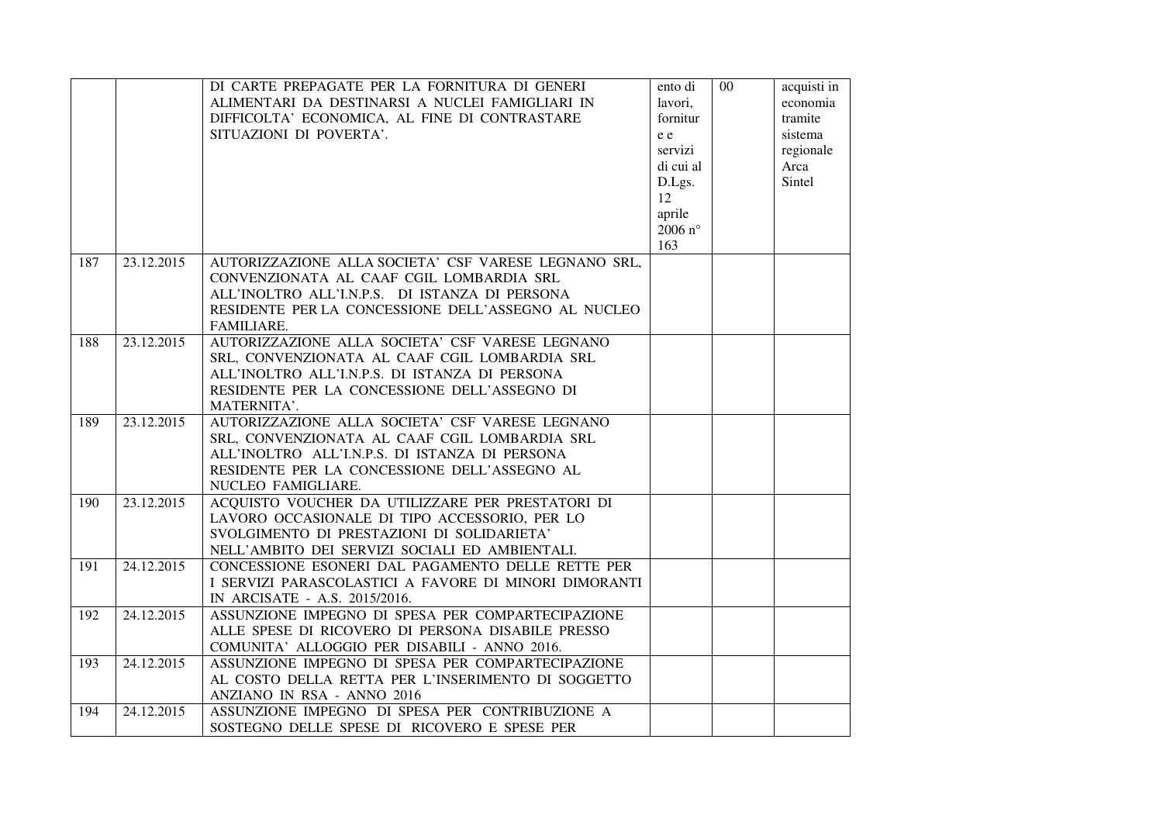|     |            | DI CARTE PREPAGATE PER LA FORNITURA DI GENERI<br>ALIMENTARI DA DESTINARSI A NUCLEI FAMIGLIARI IN<br>DIFFICOLTA' ECONOMICA, AL FINE DI CONTRASTARE<br>SITUAZIONI DI POVERTA'.                                             | ento di<br>lavori,<br>fornitur<br>e e<br>servizi<br>di cui al<br>D.Lgs.<br>12<br>aprile<br>2006 $n^{\circ}$<br>163 | $\overline{00}$ | acquisti in<br>economia<br>tramite<br>sistema<br>regionale<br>Arca<br>Sintel |
|-----|------------|--------------------------------------------------------------------------------------------------------------------------------------------------------------------------------------------------------------------------|--------------------------------------------------------------------------------------------------------------------|-----------------|------------------------------------------------------------------------------|
| 187 | 23.12.2015 | AUTORIZZAZIONE ALLA SOCIETA' CSF VARESE LEGNANO SRL,<br>CONVENZIONATA AL CAAF CGIL LOMBARDIA SRL<br>ALL'INOLTRO ALL'I.N.P.S. DI ISTANZA DI PERSONA<br>RESIDENTE PER LA CONCESSIONE DELL'ASSEGNO AL NUCLEO<br>FAMILIARE.  |                                                                                                                    |                 |                                                                              |
| 188 | 23.12.2015 | AUTORIZZAZIONE ALLA SOCIETA' CSF VARESE LEGNANO<br>SRL, CONVENZIONATA AL CAAF CGIL LOMBARDIA SRL<br>ALL'INOLTRO ALL'I.N.P.S. DI ISTANZA DI PERSONA<br>RESIDENTE PER LA CONCESSIONE DELL'ASSEGNO DI<br>MATERNITA'.        |                                                                                                                    |                 |                                                                              |
| 189 | 23.12.2015 | AUTORIZZAZIONE ALLA SOCIETA' CSF VARESE LEGNANO<br>SRL, CONVENZIONATA AL CAAF CGIL LOMBARDIA SRL<br>ALL'INOLTRO ALL'I.N.P.S. DI ISTANZA DI PERSONA<br>RESIDENTE PER LA CONCESSIONE DELL'ASSEGNO AL<br>NUCLEO FAMIGLIARE. |                                                                                                                    |                 |                                                                              |
| 190 | 23.12.2015 | ACQUISTO VOUCHER DA UTILIZZARE PER PRESTATORI DI<br>LAVORO OCCASIONALE DI TIPO ACCESSORIO, PER LO<br>SVOLGIMENTO DI PRESTAZIONI DI SOLIDARIETA'<br>NELL'AMBITO DEI SERVIZI SOCIALI ED AMBIENTALI.                        |                                                                                                                    |                 |                                                                              |
| 191 | 24.12.2015 | CONCESSIONE ESONERI DAL PAGAMENTO DELLE RETTE PER<br>I SERVIZI PARASCOLASTICI A FAVORE DI MINORI DIMORANTI<br>IN ARCISATE - A.S. 2015/2016.                                                                              |                                                                                                                    |                 |                                                                              |
| 192 | 24.12.2015 | ASSUNZIONE IMPEGNO DI SPESA PER COMPARTECIPAZIONE<br>ALLE SPESE DI RICOVERO DI PERSONA DISABILE PRESSO<br>COMUNITA' ALLOGGIO PER DISABILI - ANNO 2016.                                                                   |                                                                                                                    |                 |                                                                              |
| 193 | 24.12.2015 | ASSUNZIONE IMPEGNO DI SPESA PER COMPARTECIPAZIONE<br>AL COSTO DELLA RETTA PER L'INSERIMENTO DI SOGGETTO<br>ANZIANO IN RSA - ANNO 2016                                                                                    |                                                                                                                    |                 |                                                                              |
| 194 | 24.12.2015 | ASSUNZIONE IMPEGNO DI SPESA PER CONTRIBUZIONE A<br>SOSTEGNO DELLE SPESE DI RICOVERO E SPESE PER                                                                                                                          |                                                                                                                    |                 |                                                                              |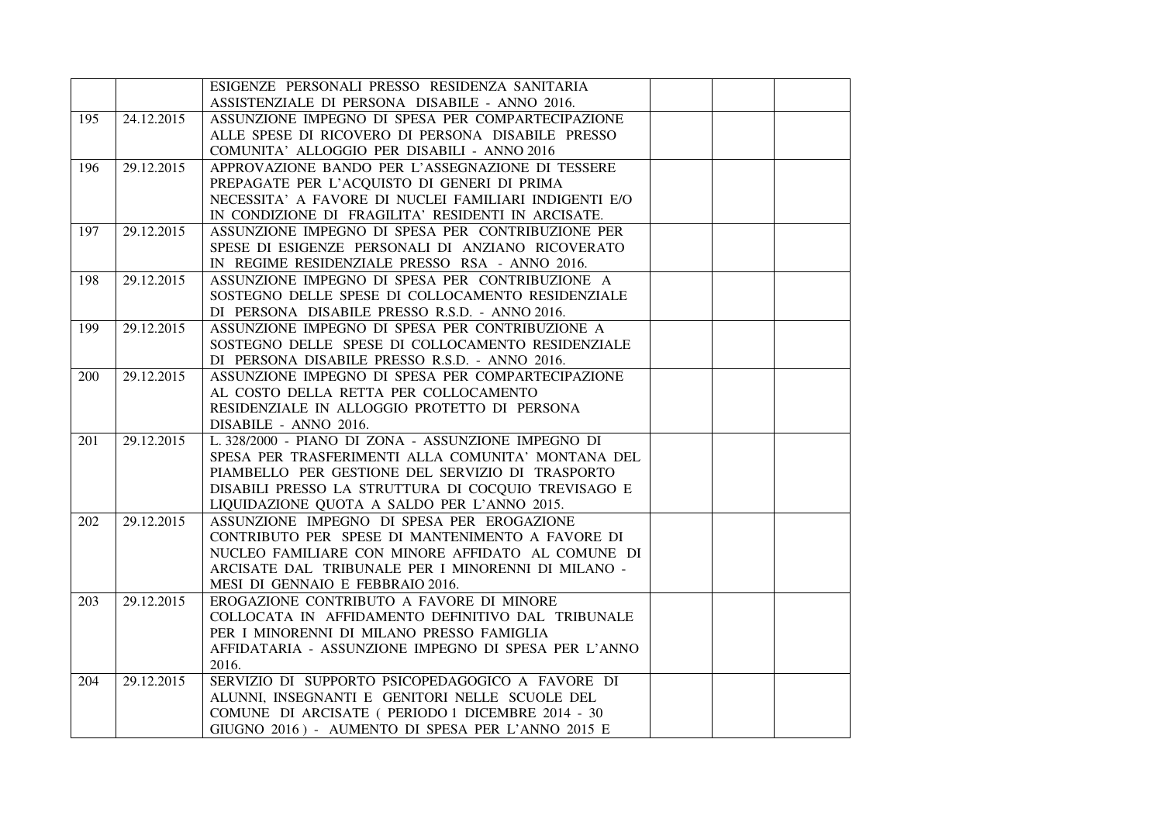|     |            | ESIGENZE PERSONALI PRESSO RESIDENZA SANITARIA         |  |  |
|-----|------------|-------------------------------------------------------|--|--|
|     |            | ASSISTENZIALE DI PERSONA DISABILE - ANNO 2016.        |  |  |
| 195 | 24.12.2015 | ASSUNZIONE IMPEGNO DI SPESA PER COMPARTECIPAZIONE     |  |  |
|     |            | ALLE SPESE DI RICOVERO DI PERSONA DISABILE PRESSO     |  |  |
|     |            | COMUNITA' ALLOGGIO PER DISABILI - ANNO 2016           |  |  |
| 196 | 29.12.2015 | APPROVAZIONE BANDO PER L'ASSEGNAZIONE DI TESSERE      |  |  |
|     |            | PREPAGATE PER L'ACQUISTO DI GENERI DI PRIMA           |  |  |
|     |            | NECESSITA' A FAVORE DI NUCLEI FAMILIARI INDIGENTI E/O |  |  |
|     |            | IN CONDIZIONE DI FRAGILITA' RESIDENTI IN ARCISATE.    |  |  |
| 197 | 29.12.2015 | ASSUNZIONE IMPEGNO DI SPESA PER CONTRIBUZIONE PER     |  |  |
|     |            | SPESE DI ESIGENZE PERSONALI DI ANZIANO RICOVERATO     |  |  |
|     |            | IN REGIME RESIDENZIALE PRESSO RSA - ANNO 2016.        |  |  |
| 198 | 29.12.2015 | ASSUNZIONE IMPEGNO DI SPESA PER CONTRIBUZIONE A       |  |  |
|     |            | SOSTEGNO DELLE SPESE DI COLLOCAMENTO RESIDENZIALE     |  |  |
|     |            | DI PERSONA DISABILE PRESSO R.S.D. - ANNO 2016.        |  |  |
| 199 | 29.12.2015 | ASSUNZIONE IMPEGNO DI SPESA PER CONTRIBUZIONE A       |  |  |
|     |            | SOSTEGNO DELLE SPESE DI COLLOCAMENTO RESIDENZIALE     |  |  |
|     |            | DI PERSONA DISABILE PRESSO R.S.D. - ANNO 2016.        |  |  |
| 200 | 29.12.2015 | ASSUNZIONE IMPEGNO DI SPESA PER COMPARTECIPAZIONE     |  |  |
|     |            | AL COSTO DELLA RETTA PER COLLOCAMENTO                 |  |  |
|     |            | RESIDENZIALE IN ALLOGGIO PROTETTO DI PERSONA          |  |  |
|     |            | DISABILE - ANNO 2016.                                 |  |  |
| 201 | 29.12.2015 | L. 328/2000 - PIANO DI ZONA - ASSUNZIONE IMPEGNO DI   |  |  |
|     |            | SPESA PER TRASFERIMENTI ALLA COMUNITA' MONTANA DEL    |  |  |
|     |            | PIAMBELLO PER GESTIONE DEL SERVIZIO DI TRASPORTO      |  |  |
|     |            | DISABILI PRESSO LA STRUTTURA DI COCQUIO TREVISAGO E   |  |  |
|     |            | LIQUIDAZIONE QUOTA A SALDO PER L'ANNO 2015.           |  |  |
| 202 | 29.12.2015 | ASSUNZIONE IMPEGNO DI SPESA PER EROGAZIONE            |  |  |
|     |            | CONTRIBUTO PER SPESE DI MANTENIMENTO A FAVORE DI      |  |  |
|     |            | NUCLEO FAMILIARE CON MINORE AFFIDATO AL COMUNE DI     |  |  |
|     |            | ARCISATE DAL TRIBUNALE PER I MINORENNI DI MILANO -    |  |  |
|     |            | MESI DI GENNAIO E FEBBRAIO 2016.                      |  |  |
| 203 | 29.12.2015 | EROGAZIONE CONTRIBUTO A FAVORE DI MINORE              |  |  |
|     |            | COLLOCATA IN AFFIDAMENTO DEFINITIVO DAL TRIBUNALE     |  |  |
|     |            | PER I MINORENNI DI MILANO PRESSO FAMIGLIA             |  |  |
|     |            | AFFIDATARIA - ASSUNZIONE IMPEGNO DI SPESA PER L'ANNO  |  |  |
|     |            | 2016.                                                 |  |  |
| 204 | 29.12.2015 | SERVIZIO DI SUPPORTO PSICOPEDAGOGICO A FAVORE DI      |  |  |
|     |            | ALUNNI, INSEGNANTI E GENITORI NELLE SCUOLE DEL        |  |  |
|     |            | COMUNE DI ARCISATE ( PERIODO 1 DICEMBRE 2014 - 30     |  |  |
|     |            | GIUGNO 2016) - AUMENTO DI SPESA PER L'ANNO 2015 E     |  |  |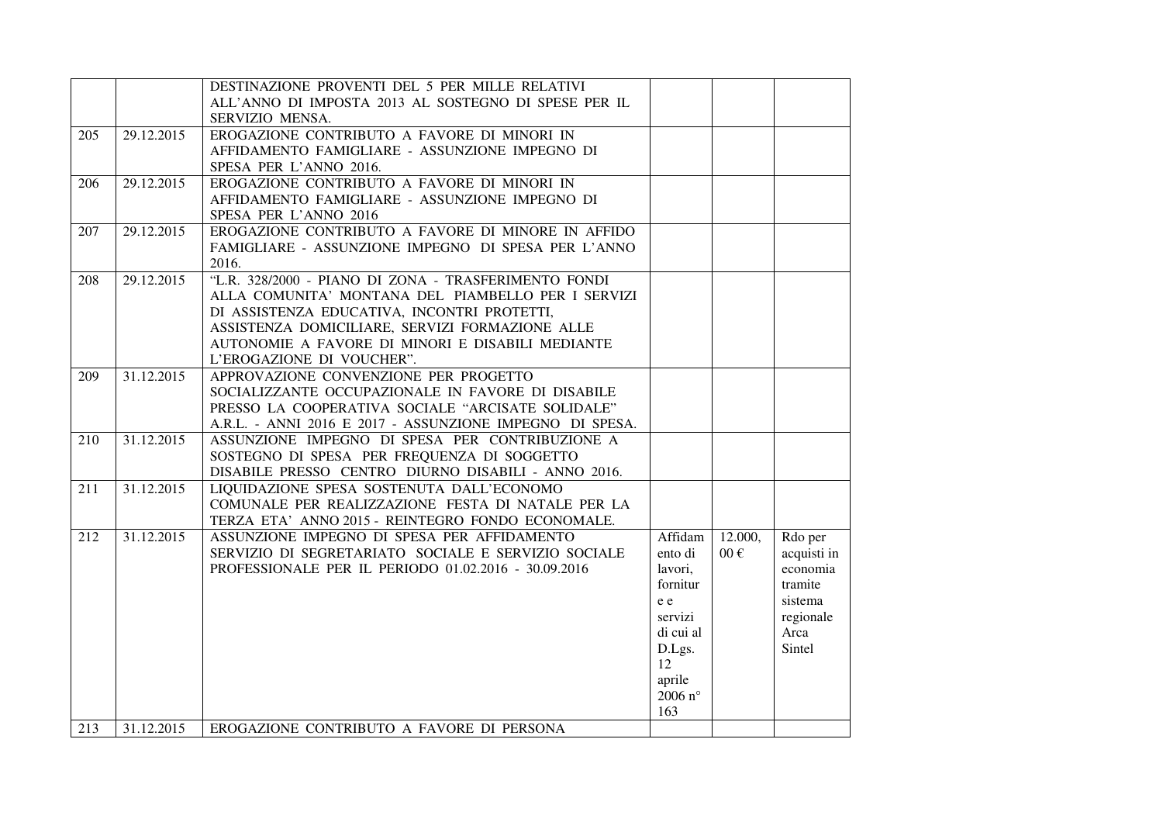|     |            | DESTINAZIONE PROVENTI DEL 5 PER MILLE RELATIVI           |                  |          |             |
|-----|------------|----------------------------------------------------------|------------------|----------|-------------|
|     |            | ALL'ANNO DI IMPOSTA 2013 AL SOSTEGNO DI SPESE PER IL     |                  |          |             |
|     |            | SERVIZIO MENSA.                                          |                  |          |             |
| 205 | 29.12.2015 | EROGAZIONE CONTRIBUTO A FAVORE DI MINORI IN              |                  |          |             |
|     |            | AFFIDAMENTO FAMIGLIARE - ASSUNZIONE IMPEGNO DI           |                  |          |             |
|     |            | SPESA PER L'ANNO 2016.                                   |                  |          |             |
| 206 | 29.12.2015 | EROGAZIONE CONTRIBUTO A FAVORE DI MINORI IN              |                  |          |             |
|     |            | AFFIDAMENTO FAMIGLIARE - ASSUNZIONE IMPEGNO DI           |                  |          |             |
|     |            | SPESA PER L'ANNO 2016                                    |                  |          |             |
| 207 | 29.12.2015 | EROGAZIONE CONTRIBUTO A FAVORE DI MINORE IN AFFIDO       |                  |          |             |
|     |            | FAMIGLIARE - ASSUNZIONE IMPEGNO DI SPESA PER L'ANNO      |                  |          |             |
|     |            | 2016.                                                    |                  |          |             |
| 208 | 29.12.2015 | "L.R. 328/2000 - PIANO DI ZONA - TRASFERIMENTO FONDI     |                  |          |             |
|     |            | ALLA COMUNITA' MONTANA DEL PIAMBELLO PER I SERVIZI       |                  |          |             |
|     |            | DI ASSISTENZA EDUCATIVA, INCONTRI PROTETTI,              |                  |          |             |
|     |            | ASSISTENZA DOMICILIARE, SERVIZI FORMAZIONE ALLE          |                  |          |             |
|     |            | AUTONOMIE A FAVORE DI MINORI E DISABILI MEDIANTE         |                  |          |             |
|     |            | L'EROGAZIONE DI VOUCHER".                                |                  |          |             |
| 209 | 31.12.2015 | APPROVAZIONE CONVENZIONE PER PROGETTO                    |                  |          |             |
|     |            | SOCIALIZZANTE OCCUPAZIONALE IN FAVORE DI DISABILE        |                  |          |             |
|     |            | PRESSO LA COOPERATIVA SOCIALE "ARCISATE SOLIDALE"        |                  |          |             |
|     |            | A.R.L. - ANNI 2016 E 2017 - ASSUNZIONE IMPEGNO DI SPESA. |                  |          |             |
| 210 | 31.12.2015 | ASSUNZIONE IMPEGNO DI SPESA PER CONTRIBUZIONE A          |                  |          |             |
|     |            | SOSTEGNO DI SPESA PER FREQUENZA DI SOGGETTO              |                  |          |             |
|     |            | DISABILE PRESSO CENTRO DIURNO DISABILI - ANNO 2016.      |                  |          |             |
| 211 | 31.12.2015 | LIQUIDAZIONE SPESA SOSTENUTA DALL'ECONOMO                |                  |          |             |
|     |            | COMUNALE PER REALIZZAZIONE FESTA DI NATALE PER LA        |                  |          |             |
|     |            | TERZA ETA' ANNO 2015 - REINTEGRO FONDO ECONOMALE.        |                  |          |             |
| 212 | 31.12.2015 | ASSUNZIONE IMPEGNO DI SPESA PER AFFIDAMENTO              | Affidam          | 12.000,  | Rdo per     |
|     |            | SERVIZIO DI SEGRETARIATO SOCIALE E SERVIZIO SOCIALE      | ento di          | $00 \in$ | acquisti in |
|     |            | PROFESSIONALE PER IL PERIODO 01.02.2016 - 30.09.2016     | lavori,          |          | economia    |
|     |            |                                                          | fornitur         |          | tramite     |
|     |            |                                                          | e e              |          | sistema     |
|     |            |                                                          | servizi          |          | regionale   |
|     |            |                                                          | di cui al        |          | Arca        |
|     |            |                                                          | D.Lgs.           |          | Sintel      |
|     |            |                                                          | 12               |          |             |
|     |            |                                                          | aprile           |          |             |
|     |            |                                                          | 2006 $n^{\circ}$ |          |             |
|     |            |                                                          | 163              |          |             |
| 213 | 31.12.2015 | EROGAZIONE CONTRIBUTO A FAVORE DI PERSONA                |                  |          |             |